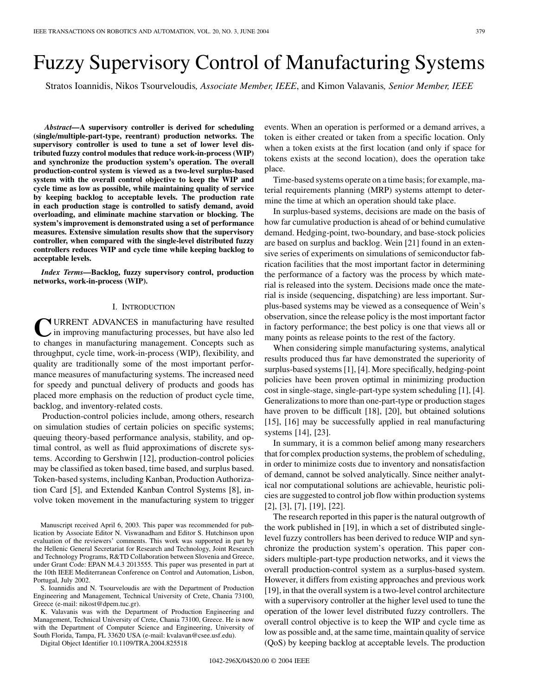# Fuzzy Supervisory Control of Manufacturing Systems

Stratos Ioannidis, Nikos Tsourveloudis*, Associate Member, IEEE*, and Kimon Valavanis*, Senior Member, IEEE*

*Abstract—***A supervisory controller is derived for scheduling (single/multiple-part-type, reentrant) production networks. The supervisory controller is used to tune a set of lower level distributed fuzzy control modules that reduce work-in-process (WIP) and synchronize the production system's operation. The overall production-control system is viewed as a two-level surplus-based system with the overall control objective to keep the WIP and cycle time as low as possible, while maintaining quality of service by keeping backlog to acceptable levels. The production rate in each production stage is controlled to satisfy demand, avoid overloading, and eliminate machine starvation or blocking. The system's improvement is demonstrated using a set of performance measures. Extensive simulation results show that the supervisory controller, when compared with the single-level distributed fuzzy controllers reduces WIP and cycle time while keeping backlog to acceptable levels.**

*Index Terms—***Backlog, fuzzy supervisory control, production networks, work-in-process (WIP).**

#### I. INTRODUCTION

**C**URRENT ADVANCES in manufacturing have resulted<br>in improving manufacturing processes, but have also led<br>to abances in manufacturing management. Consents such as to changes in manufacturing management. Concepts such as throughput, cycle time, work-in-process (WIP), flexibility, and quality are traditionally some of the most important performance measures of manufacturing systems. The increased need for speedy and punctual delivery of products and goods has placed more emphasis on the reduction of product cycle time, backlog, and inventory-related costs.

Production-control policies include, among others, research on simulation studies of certain policies on specific systems; queuing theory-based performance analysis, stability, and optimal control, as well as fluid approximations of discrete systems. According to Gershwin [\[12](#page-10-0)], production-control policies may be classified as token based, time based, and surplus based. Token-based systems, including Kanban, Production Authorization Card [[5\]](#page-10-0), and Extended Kanban Control Systems [[8\]](#page-10-0), involve token movement in the manufacturing system to trigger

Manuscript received April 6, 2003. This paper was recommended for publication by Associate Editor N. Viswanadham and Editor S. Hutchinson upon evaluation of the reviewers' comments. This work was supported in part by the Hellenic General Secretariat for Research and Technology, Joint Research and Technology Programs, R&TD Collaboration between Slovenia and Greece, under Grant Code: EPAN M.4.3 2013555. This paper was presented in part at the 10th IEEE Mediterranean Conference on Control and Automation, Lisbon, Portugal, July 2002.

S. Ioannidis and N. Tsourveloudis are with the Department of Production Engineering and Management, Technical University of Crete, Chania 73100, Greece (e-mail: nikost@dpem.tuc.gr).

K. Valavanis was with the Department of Production Engineering and Management, Technical University of Crete, Chania 73100, Greece. He is now with the Department of Computer Science and Engineering, University of South Florida, Tampa, FL 33620 USA (e-mail: kvalavan@csee.usf.edu).

Digital Object Identifier 10.1109/TRA.2004.825518

events. When an operation is performed or a demand arrives, a token is either created or taken from a specific location. Only when a token exists at the first location (and only if space for tokens exists at the second location), does the operation take place.

Time-based systems operate on a time basis; for example, material requirements planning (MRP) systems attempt to determine the time at which an operation should take place.

In surplus-based systems, decisions are made on the basis of how far cumulative production is ahead of or behind cumulative demand. Hedging-point, two-boundary, and base-stock policies are based on surplus and backlog. Wein [\[21](#page-10-0)] found in an extensive series of experiments on simulations of semiconductor fabrication facilities that the most important factor in determining the performance of a factory was the process by which material is released into the system. Decisions made once the material is inside (sequencing, dispatching) are less important. Surplus-based systems may be viewed as a consequence of Wein's observation, since the release policy is the most important factor in factory performance; the best policy is one that views all or many points as release points to the rest of the factory.

When considering simple manufacturing systems, analytical results produced thus far have demonstrated the superiority of surplus-based systems [[1\]](#page-10-0), [[4\]](#page-10-0). More specifically, hedging-point policies have been proven optimal in minimizing production cost in single-stage, single-part-type system scheduling [\[1](#page-10-0)], [\[4](#page-10-0)]. Generalizations to more than one-part-type or production stages have proven to be difficult [[18\]](#page-10-0), [[20\]](#page-10-0), but obtained solutions [\[15](#page-10-0)], [\[16](#page-10-0)] may be successfully applied in real manufacturing systems [[14\]](#page-10-0), [[23\]](#page-10-0).

In summary, it is a common belief among many researchers that for complex production systems, the problem of scheduling, in order to minimize costs due to inventory and nonsatisfaction of demand, cannot be solved analytically. Since neither analytical nor computational solutions are achievable, heuristic policies are suggested to control job flow within production systems [\[2](#page-10-0)], [\[3](#page-10-0)], [\[7](#page-10-0)], [\[19](#page-10-0)], [\[22](#page-10-0)].

The research reported in this paper is the natural outgrowth of the work published in [\[19](#page-10-0)], in which a set of distributed singlelevel fuzzy controllers has been derived to reduce WIP and synchronize the production system's operation. This paper considers multiple-part-type production networks, and it views the overall production-control system as a surplus-based system. However, it differs from existing approaches and previous work [\[19](#page-10-0)], in that the overall system is a two-level control architecture with a supervisory controller at the higher level used to tune the operation of the lower level distributed fuzzy controllers. The overall control objective is to keep the WIP and cycle time as low as possible and, at the same time, maintain quality of service (QoS) by keeping backlog at acceptable levels. The production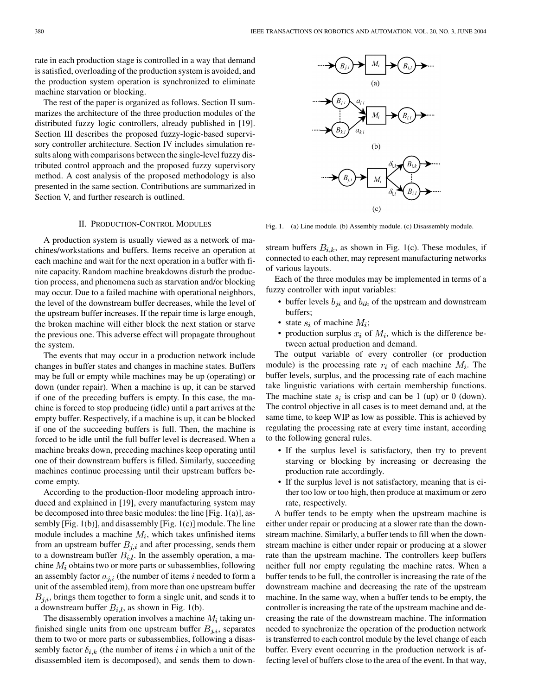rate in each production stage is controlled in a way that demand is satisfied, overloading of the production system is avoided, and the production system operation is synchronized to eliminate machine starvation or blocking.

The rest of the paper is organized as follows. Section II summarizes the architecture of the three production modules of the distributed fuzzy logic controllers, already published in [[19\]](#page-10-0). Section III describes the proposed fuzzy-logic-based supervisory controller architecture. Section IV includes simulation results along with comparisons between the single-level fuzzy distributed control approach and the proposed fuzzy supervisory method. A cost analysis of the proposed methodology is also presented in the same section. Contributions are summarized in Section V, and further research is outlined.

#### II. PRODUCTION-CONTROL MODULES

A production system is usually viewed as a network of machines/workstations and buffers. Items receive an operation at each machine and wait for the next operation in a buffer with finite capacity. Random machine breakdowns disturb the production process, and phenomena such as starvation and/or blocking may occur. Due to a failed machine with operational neighbors, the level of the downstream buffer decreases, while the level of the upstream buffer increases. If the repair time is large enough, the broken machine will either block the next station or starve the previous one. This adverse effect will propagate throughout the system.

The events that may occur in a production network include changes in buffer states and changes in machine states. Buffers may be full or empty while machines may be up (operating) or down (under repair). When a machine is up, it can be starved if one of the preceding buffers is empty. In this case, the machine is forced to stop producing (idle) until a part arrives at the empty buffer. Respectively, if a machine is up, it can be blocked if one of the succeeding buffers is full. Then, the machine is forced to be idle until the full buffer level is decreased. When a machine breaks down, preceding machines keep operating until one of their downstream buffers is filled. Similarly, succeeding machines continue processing until their upstream buffers become empty.

According to the production-floor modeling approach introduced and explained in [[19\]](#page-10-0), every manufacturing system may be decomposed into three basic modules: the line [Fig. 1(a)], assembly [Fig. 1(b)], and disassembly [Fig. 1(c)] module. The line module includes a machine  $M_i$ , which takes unfinished items from an upstream buffer  $B_{j,i}$  and after processing, sends them to a downstream buffer  $B_{i,l}$ . In the assembly operation, a machine  $M_i$  obtains two or more parts or subassemblies, following an assembly factor  $a_{i,i}$  (the number of items i needed to form a unit of the assembled item), from more than one upstream buffer  $B_{j,i}$ , brings them together to form a single unit, and sends it to a downstream buffer  $B_{i,l}$ , as shown in Fig. 1(b).

The disassembly operation involves a machine  $M_i$  taking unfinished single units from one upstream buffer  $B_{i,i}$ , separates them to two or more parts or subassemblies, following a disassembly factor  $\delta_{i,k}$  (the number of items i in which a unit of the disassembled item is decomposed), and sends them to down-



Fig. 1. (a) Line module. (b) Assembly module. (c) Disassembly module.

stream buffers  $B_{i,k}$ , as shown in Fig. 1(c). These modules, if connected to each other, may represent manufacturing networks of various layouts.

Each of the three modules may be implemented in terms of a fuzzy controller with input variables:

- buffer levels  $b_{ji}$  and  $b_{ik}$  of the upstream and downstream buffers;
- state  $s_i$  of machine  $M_i$ ;
- production surplus  $x_i$  of  $M_i$ , which is the difference between actual production and demand.

The output variable of every controller (or production module) is the processing rate  $r_i$  of each machine  $M_i$ . The buffer levels, surplus, and the processing rate of each machine take linguistic variations with certain membership functions. The machine state  $s_i$  is crisp and can be 1 (up) or 0 (down). The control objective in all cases is to meet demand and, at the same time, to keep WIP as low as possible. This is achieved by regulating the processing rate at every time instant, according to the following general rules.

- If the surplus level is satisfactory, then try to prevent starving or blocking by increasing or decreasing the production rate accordingly.
- If the surplus level is not satisfactory, meaning that is either too low or too high, then produce at maximum or zero rate, respectively.

A buffer tends to be empty when the upstream machine is either under repair or producing at a slower rate than the downstream machine. Similarly, a buffer tends to fill when the downstream machine is either under repair or producing at a slower rate than the upstream machine. The controllers keep buffers neither full nor empty regulating the machine rates. When a buffer tends to be full, the controller is increasing the rate of the downstream machine and decreasing the rate of the upstream machine. In the same way, when a buffer tends to be empty, the controller is increasing the rate of the upstream machine and decreasing the rate of the downstream machine. The information needed to synchronize the operation of the production network is transferred to each control module by the level change of each buffer. Every event occurring in the production network is affecting level of buffers close to the area of the event. In that way,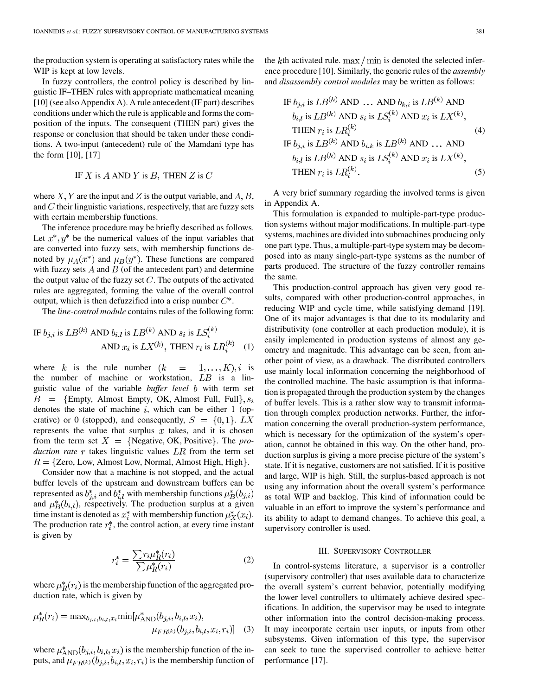the production system is operating at satisfactory rates while the WIP is kept at low levels.

In fuzzy controllers, the control policy is described by linguistic IF–THEN rules with appropriate mathematical meaning [\[10](#page-10-0)] (see also Appendix A). A rule antecedent (IF part) describes conditions under which the rule is applicable and forms the composition of the inputs. The consequent (THEN part) gives the response or conclusion that should be taken under these conditions. A two-input (antecedent) rule of the Mamdani type has the form [[10\]](#page-10-0), [[17\]](#page-10-0)

# IF  $X$  is  $A$  AND  $Y$  is  $B$ , THEN  $Z$  is  $C$

where  $X, Y$  are the input and Z is the output variable, and  $A, B$ , and  $C$  their linguistic variations, respectively, that are fuzzy sets with certain membership functions.

The inference procedure may be briefly described as follows. Let  $x^*, y^*$  be the numerical values of the input variables that are converted into fuzzy sets, with membership functions denoted by  $\mu_A(x^*)$  and  $\mu_B(y^*)$ . These functions are compared with fuzzy sets  $A$  and  $B$  (of the antecedent part) and determine the output value of the fuzzy set  $C$ . The outputs of the activated rules are aggregated, forming the value of the overall control output, which is then defuzzified into a crisp number  $C^*$ .

The *line-control module* contains rules of the following form:

IF 
$$
b_{j,i}
$$
 is  $LB^{(k)}$  AND  $b_{i,l}$  is  $LB^{(k)}$  AND  $s_i$  is  $LS_i^{(k)}$   
AND  $x_i$  is  $LK^{(k)}$ , THEN  $r_i$  is  $LR_i^{(k)}$  (1)

where k is the rule number  $(k = 1, ..., K), i$  is the number of machine or workstation,  $LB$  is a linguistic value of the variable *buffer level* with term set  $B = \{Empty, Almost Empty, OK, Almost Full, Full\}, s_i$ denotes the state of machine  $i$ , which can be either 1 (operative) or 0 (stopped), and consequently,  $S = \{0, 1\}$ . LX represents the value that surplus  $x$  takes, and it is chosen from the term set  $X = \{Negative, OK, Positive\}$ . The *production rate*  $r$  takes linguistic values  $LR$  from the term set  $R = \{Zero, Low, Almost Low, Normal, Almost High, High\}.$ 

Consider now that a machine is not stopped, and the actual buffer levels of the upstream and downstream buffers can be represented as  $b_{i,i}^*$  and  $b_{i,l}^*$  with membership functions  $\mu_B^*(b_{j,i})$ and  $\mu_B^*(b_{i,l})$ , respectively. The production surplus at a given time instant is denoted as  $x_i^*$  with membership function  $\mu_X^*(x_i)$ . The production rate  $r_i^*$ , the control action, at every time instant is given by

$$
r_i^* = \frac{\sum r_i \mu_R^*(r_i)}{\sum \mu_R^*(r_i)}\tag{2}
$$

where  $\mu_R^*(r_i)$  is the membership function of the aggregated production rate, which is given by

$$
\mu_R^*(r_i) = \max_{b_{j,i}, b_{i,l}, x_i} \min[\mu_{AND}^*(b_{j,i}, b_{i,l}, x_i), \mu_{FR^{(k)}}(b_{j,i}, b_{i,l}, x_i, r_i)]
$$
(3)

where  $\mu_{\text{AND}}^*(b_{j,i}, b_{i,l}, x_i)$  is the membership function of the inputs, and  $\mu_{FR^{(k)}}(b_{j,i}, b_{i,l}, x_i, r_i)$  is the membership function of the kth activated rule.  $\max/\min$  is denoted the selected inference procedure [\[10](#page-10-0)]. Similarly, the generic rules of the *assembly* and *disassembly control modules* may be written as follows:

 $\sim$ 

IF 
$$
b_{j,i}
$$
 is  $LB^{(k)}$  AND ... AND  $b_{k,i}$  is  $LB^{(k)}$  AND  
\n $b_{i,l}$  is  $LB^{(k)}$  AND  $s_i$  is  $LS_i^{(k)}$  AND  $x_i$  is  $LK^{(k)}$ ,  
\nTHEN  $r_i$  is  $LR_i^{(k)}$  (4)  
\nIF  $b_{j,i}$  is  $LB^{(k)}$  AND  $b_{i,k}$  is  $LB^{(k)}$  AND ... AND  
\n $b_{i,l}$  is  $LB_i^{(k)}$  AND  $s_i$  is  $LS_i^{(k)}$  AND  $x_i$  is  $LK_i^{(k)}$ ,  
\nTHEN  $r_i$  is  $LR_i^{(k)}$ . (5)

A very brief summary regarding the involved terms is given in Appendix A.

This formulation is expanded to multiple-part-type production systems without major modifications. In multiple-part-type systems, machines are divided into submachines producing only one part type. Thus, a multiple-part-type system may be decomposed into as many single-part-type systems as the number of parts produced. The structure of the fuzzy controller remains the same.

This production-control approach has given very good results, compared with other production-control approaches, in reducing WIP and cycle time, while satisfying demand [\[19](#page-10-0)]. One of its major advantages is that due to its modularity and distributivity (one controller at each production module), it is easily implemented in production systems of almost any geometry and magnitude. This advantage can be seen, from another point of view, as a drawback. The distributed controllers use mainly local information concerning the neighborhood of the controlled machine. The basic assumption is that information is propagated through the production system by the changes of buffer levels. This is a rather slow way to transmit information through complex production networks. Further, the information concerning the overall production-system performance, which is necessary for the optimization of the system's operation, cannot be obtained in this way. On the other hand, production surplus is giving a more precise picture of the system's state. If it is negative, customers are not satisfied. If it is positive and large, WIP is high. Still, the surplus-based approach is not using any information about the overall system's performance as total WIP and backlog. This kind of information could be valuable in an effort to improve the system's performance and its ability to adapt to demand changes. To achieve this goal, a supervisory controller is used.

#### III. SUPERVISORY CONTROLLER

In control-systems literature, a supervisor is a controller (supervisory controller) that uses available data to characterize the overall system's current behavior, potentially modifying the lower level controllers to ultimately achieve desired specifications. In addition, the supervisor may be used to integrate other information into the control decision-making process. It may incorporate certain user inputs, or inputs from other subsystems. Given information of this type, the supervisor can seek to tune the supervised controller to achieve better performance [[17\]](#page-10-0).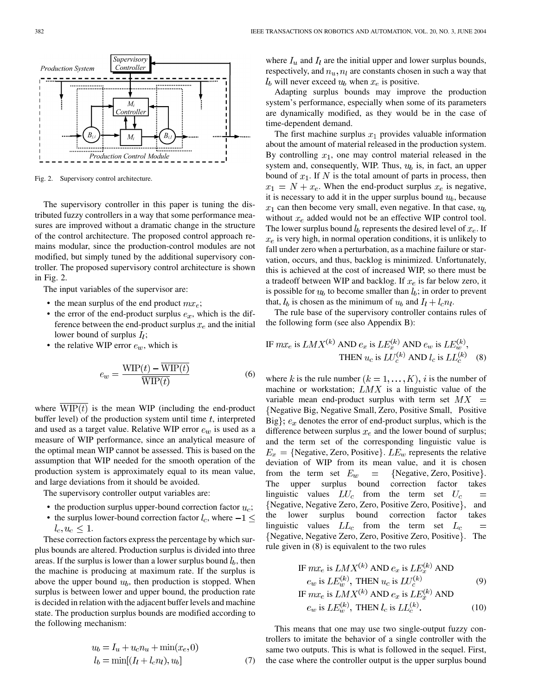

Fig. 2. Supervisory control architecture.

The supervisory controller in this paper is tuning the distributed fuzzy controllers in a way that some performance measures are improved without a dramatic change in the structure of the control architecture. The proposed control approach remains modular, since the production-control modules are not modified, but simply tuned by the additional supervisory controller. The proposed supervisory control architecture is shown in Fig. 2.

The input variables of the supervisor are:

- the mean surplus of the end product  $mx_e$ ;
- the error of the end-product surplus  $e_x$ , which is the difference between the end-product surplus  $x_e$  and the initial lower bound of surplus  $I_l$ ;
- the relative WIP error  $e_w$ , which is

$$
e_w = \frac{\text{WIP}(t) - \overline{\text{WIP}(t)}}{\overline{\text{WIP}(t)}}
$$
(6)

where  $WIP(t)$  is the mean WIP (including the end-product buffer level) of the production system until time  $t$ , interpreted and used as a target value. Relative WIP error  $e_w$  is used as a measure of WIP performance, since an analytical measure of the optimal mean WIP cannot be assessed. This is based on the assumption that WIP needed for the smooth operation of the production system is approximately equal to its mean value, and large deviations from it should be avoided.

The supervisory controller output variables are:

- the production surplus upper-bound correction factor  $u_c$ ;
- the surplus lower-bound correction factor  $l_c$ , where  $-1 \leq$  $l_c, u_c \leq 1.$

These correction factors express the percentage by which surplus bounds are altered. Production surplus is divided into three areas. If the surplus is lower than a lower surplus bound  $l<sub>b</sub>$ , then the machine is producing at maximum rate. If the surplus is above the upper bound  $u<sub>b</sub>$ , then production is stopped. When surplus is between lower and upper bound, the production rate is decided in relation with the adjacent buffer levels and machine state. The production surplus bounds are modified according to the following mechanism:

$$
u_b = I_u + u_c n_u + \min(x_e, 0)
$$
  
\n
$$
l_b = \min[(I_l + l_c n_l), u_b]
$$
 (7)

where  $I_u$  and  $I_l$  are the initial upper and lower surplus bounds, respectively, and  $n_u$ ,  $n_l$  are constants chosen in such a way that  $l_b$  will never exceed  $u_b$  when  $x_e$  is positive.

Adapting surplus bounds may improve the production system's performance, especially when some of its parameters are dynamically modified, as they would be in the case of time-dependent demand.

The first machine surplus  $x_1$  provides valuable information about the amount of material released in the production system. By controlling  $x_1$ , one may control material released in the system and, consequently, WIP. Thus,  $u<sub>b</sub>$  is, in fact, an upper bound of  $x_1$ . If N is the total amount of parts in process, then  $x_1 = N + x_e$ . When the end-product surplus  $x_e$  is negative, it is necessary to add it in the upper surplus bound  $u<sub>b</sub>$ , because  $x_1$  can then become very small, even negative. In that case,  $u_b$ without  $x_e$  added would not be an effective WIP control tool. The lower surplus bound  $l_b$  represents the desired level of  $x_e$ . If  $x_e$  is very high, in normal operation conditions, it is unlikely to fall under zero when a perturbation, as a machine failure or starvation, occurs, and thus, backlog is minimized. Unfortunately, this is achieved at the cost of increased WIP, so there must be a tradeoff between WIP and backlog. If  $x_e$  is far below zero, it is possible for  $u<sub>b</sub>$  to become smaller than  $l<sub>b</sub>$ ; in order to prevent that,  $l_b$  is chosen as the minimum of  $u_b$  and  $I_l + l_c n_l$ .

The rule base of the supervisory controller contains rules of the following form (see also Appendix B):

IF 
$$
mx_e
$$
 is  $LMX^{(k)}$  AND  $e_x$  is  $LE_x^{(k)}$  AND  $e_w$  is  $LE_w^{(k)}$ ,  
THEN  $u_c$  is  $LU_c^{(k)}$  AND  $l_c$  is  $LL_c^{(k)}$  (8)

where k is the rule number  $(k = 1, \ldots, K)$ , i is the number of machine or workstation;  $LMX$  is a linguistic value of the variable mean end-product surplus with term set  $MX =$ Negative Big, Negative Small, Zero, Positive Small, Positive Big $\}; e_x$  denotes the error of end-product surplus, which is the difference between surplus  $x_e$  and the lower bound of surplus; and the term set of the corresponding linguistic value is  $E_x = \{Negative, Zero, Positive\}$ .  $LE_w$  represents the relative deviation of WIP from its mean value, and it is chosen from the term set  $E_w = \{Negative, Zero, Positive\}.$ The upper surplus bound correction factor takes linguistic values  $LU_c$  from the term set  $U_c$  $\equiv$ {Negative, Negative Zero, Zero, Positive Zero, Positive}, and the lower surplus bound correction factor takes linguistic values  $LL_c$  from the term set  $L_c$  $\equiv$ Negative, Negative Zero, Zero, Positive Zero, Positive . The rule given in (8) is equivalent to the two rules

IF 
$$
mx_e
$$
 is  $LMX^{(k)}$  AND  $e_x$  is  $LE_x^{(k)}$  AND  
\n $e_w$  is  $LE_w^{(k)}$ , THEN  $u_c$  is  $LU_c^{(k)}$  (9)

IF 
$$
mx_e
$$
 is  $LMX^{(k)}$  AND  $e_x$  is  $LE_x^{(k)}$  AND  
\n $e_w$  is  $LE_w^{(k)}$ , THEN  $l_c$  is  $LL_c^{(k)}$ . (10)

This means that one may use two single-output fuzzy controllers to imitate the behavior of a single controller with the same two outputs. This is what is followed in the sequel. First, the case where the controller output is the upper surplus bound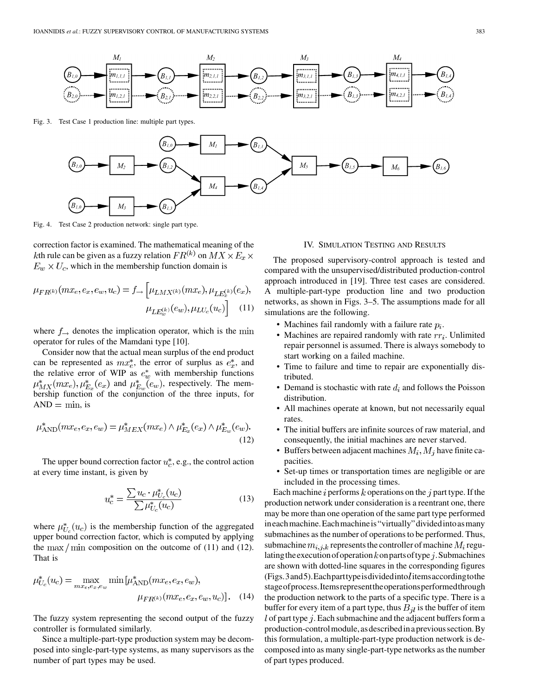

Fig. 3. Test Case 1 production line: multiple part types.



Fig. 4. Test Case 2 production network: single part type.

correction factor is examined. The mathematical meaning of the *k*th rule can be given as a fuzzy relation  $FR^{(k)}$  on  $MX \times E_x \times$  $E_w \times U_c$ , which in the membership function domain is

$$
\mu_{FR^{(k)}}(mx_e, e_x, e_w, u_c) = f_{\rightarrow} \left[ \mu_{LMX^{(k)}}(mx_e), \mu_{LE_x^{(k)}}(e_x), \mu_{LE_x^{(k)}}(e_w), \mu_{LU_c}(u_c) \right] \tag{11}
$$

where  $f_{\rightarrow}$  denotes the implication operator, which is the min operator for rules of the Mamdani type [\[10](#page-10-0)].

Consider now that the actual mean surplus of the end product can be represented as  $mx_e^*$ , the error of surplus as  $e_x^*$ , and the relative error of WIP as  $e_w^*$  with membership functions  $\mu_{MX}^*(mx_e), \mu_{E_x}^*(e_x)$  and  $\mu_{E_w}^*(e_w)$ , respectively. The membership function of the conjunction of the three inputs, for  $AND = min$ , is

$$
\mu_{\text{AND}}^*(mx_e, e_x, e_w) = \mu_{MEX}^*(mx_e) \wedge \mu_{E_x}^*(e_x) \wedge \mu_{E_w}^*(e_w). \tag{12}
$$

The upper bound correction factor  $u_c^*$ , e.g., the control action at every time instant, is given by

$$
u_c^* = \frac{\sum u_c \cdot \mu_{U_c}^*(u_c)}{\sum \mu_{U_c}^*(u_c)}\tag{13}
$$

where  $\mu_{U_s}^*(u_c)$  is the membership function of the aggregated upper bound correction factor, which is computed by applying the max/min composition on the outcome of  $(11)$  and  $(12)$ . That is

$$
\mu_{U_c}^*(u_c) = \max_{mx_c, e_x, e_w} \min[\mu_{\text{AND}}^*(mx_e, e_x, e_w),\mu_{FR^{(k)}}(mx_e, e_x, e_w, u_c)]. \quad (14)
$$

The fuzzy system representing the second output of the fuzzy controller is formulated similarly.

Since a multiple-part-type production system may be decomposed into single-part-type systems, as many supervisors as the number of part types may be used.

# IV. SIMULATION TESTING AND RESULTS

The proposed supervisory-control approach is tested and compared with the unsupervised/distributed production-control approach introduced in [\[19](#page-10-0)]. Three test cases are considered. A multiple-part-type production line and two production networks, as shown in Figs. 3–5. The assumptions made for all simulations are the following.

- Machines fail randomly with a failure rate  $p_i$ .
- Machines are repaired randomly with rate  $rr_i$ . Unlimited repair personnel is assumed. There is always somebody to start working on a failed machine.
- Time to failure and time to repair are exponentially distributed.
- Demand is stochastic with rate  $d_i$  and follows the Poisson distribution.
- All machines operate at known, but not necessarily equal rates.
- The initial buffers are infinite sources of raw material, and consequently, the initial machines are never starved.
- Buffers between adjacent machines  $M_i$ ,  $M_i$  have finite capacities.
- Set-up times or transportation times are negligible or are included in the processing times.

Each machine i performs  $k$  operations on the j part type. If the production network under consideration is a reentrant one, there may be more than one operation of the same part type performed ineachmachine. Each machine is "virtually" divided into as many submachines as the number of operations to be performed. Thus, submachine  $m_{i,j,k}$  represents the controller of machine  $M_i$  regulating the execution of operation  $k$  on parts of type  $j$ . Submachines are shown with dotted-line squares in the corresponding figures (Figs.3and5).Eachparttypeisdividedinto itemsaccordingtothe stageofprocess.Itemsrepresenttheoperationsperformedthrough the production network to the parts of a specific type. There is a buffer for every item of a part type, thus  $B_{jl}$  is the buffer of item  $l$  of part type  $j$ . Each submachine and the adjacent buffers form a production-control module, as described in a previous section. By this formulation, a multiple-part-type production network is decomposed into as many single-part-type networks as the number of part types produced.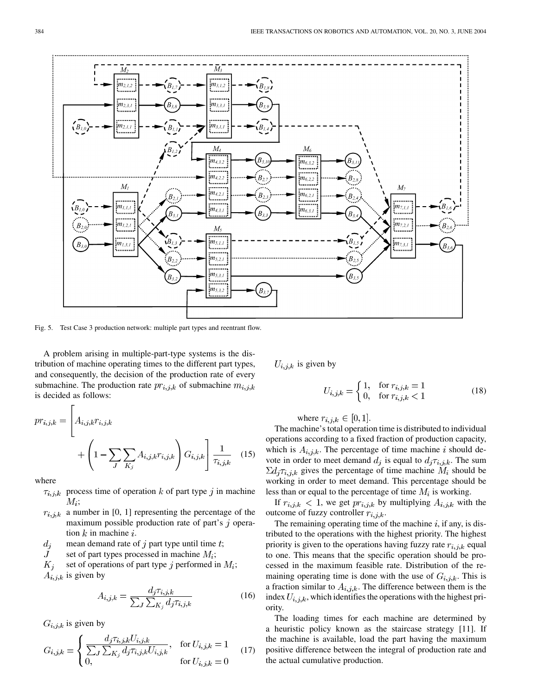

Fig. 5. Test Case 3 production network: multiple part types and reentrant flow.

A problem arising in multiple-part-type systems is the distribution of machine operating times to the different part types, and consequently, the decision of the production rate of every submachine. The production rate  $pr_{i,j,k}$  of submachine  $m_{i,j,k}$ is decided as follows:

$$
pr_{i,j,k} = \left[ A_{i,j,k} r_{i,j,k} + \left( 1 - \sum_{J} \sum_{K_j} A_{i,j,k} r_{i,j,k} \right) G_{i,j,k} \right] \frac{1}{\tau_{i,j,k}} \quad (15)
$$

where

- $\tau_{i,j,k}$  process time of operation k of part type j in machine  $M_i$ ;
- $r_{i,j,k}$  a number in [0, 1] representing the percentage of the maximum possible production rate of part's  $j$  operation  $k$  in machine  $i$ .
- $d_i$ mean demand rate of  $j$  part type until time  $t$ ;
- $J$ set of part types processed in machine  $M_i$ ;

 $K_i$ set of operations of part type  $j$  performed in  $M_i$ ;  $A_{i,j,k}$  is given by

$$
A_{i,j,k} = \frac{d_j \tau_{i,j,k}}{\sum_J \sum_{K_j} d_j \tau_{i,j,k}}
$$
(16)

 $G_{i,j,k}$  is given by

$$
G_{i,j,k} = \begin{cases} \frac{d_j \tau_{i,j,k} U_{i,j,k}}{\sum_J \sum_{K_j} d_j \tau_{i,j,k} U_{i,j,k}}, & \text{for } U_{i,j,k} = 1\\ 0, & \text{for } U_{i,j,k} = 0 \end{cases}
$$
(17)

 $U_{i,j,k}$  is given by

$$
U_{i,j,k} = \begin{cases} 1, & \text{for } r_{i,j,k} = 1 \\ 0, & \text{for } r_{i,j,k} < 1 \end{cases} \tag{18}
$$

where  $r_{i,j,k} \in [0,1]$ .

The machine's total operation time is distributed to individual operations according to a fixed fraction of production capacity, which is  $A_{i,j,k}$ . The percentage of time machine i should devote in order to meet demand  $d_j$  is equal to  $d_j \tau_{i,j,k}$ . The sum  $\Sigma d_i \tau_{i,j,k}$  gives the percentage of time machine  $M_i$  should be working in order to meet demand. This percentage should be less than or equal to the percentage of time  $M_i$  is working.

If  $r_{i,j,k} < 1$ , we get  $pr_{i,j,k}$  by multiplying  $A_{i,j,k}$  with the outcome of fuzzy controller  $r_{i,j,k}$ .

The remaining operating time of the machine  $i$ , if any, is distributed to the operations with the highest priority. The highest priority is given to the operations having fuzzy rate  $r_{i,j,k}$  equal to one. This means that the specific operation should be processed in the maximum feasible rate. Distribution of the remaining operating time is done with the use of  $G_{i,j,k}$ . This is a fraction similar to  $A_{i,j,k}$ . The difference between them is the index  $U_{i,j,k}$ , which identifies the operations with the highest priority.

The loading times for each machine are determined by a heuristic policy known as the staircase strategy [[11\]](#page-10-0). If the machine is available, load the part having the maximum positive difference between the integral of production rate and the actual cumulative production.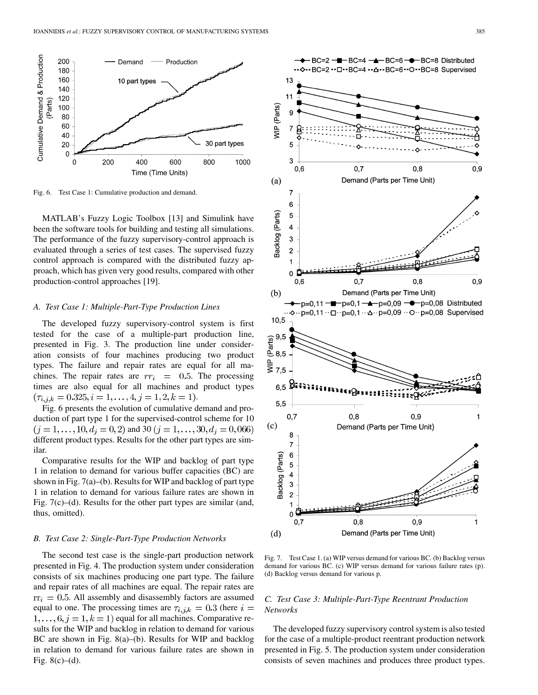

Fig. 6. Test Case 1: Cumulative production and demand.

MATLAB's Fuzzy Logic Toolbox [\[13](#page-10-0)] and Simulink have been the software tools for building and testing all simulations. The performance of the fuzzy supervisory-control approach is evaluated through a series of test cases. The supervised fuzzy control approach is compared with the distributed fuzzy approach, which has given very good results, compared with other production-control approaches [\[19](#page-10-0)].

#### *A. Test Case 1: Multiple-Part-Type Production Lines*

The developed fuzzy supervisory-control system is first tested for the case of a multiple-part production line, presented in Fig. 3. The production line under consideration consists of four machines producing two product types. The failure and repair rates are equal for all machines. The repair rates are  $rr_i = 0.5$ . The processing times are also equal for all machines and product types  $(\tau_{i,j,k} = 0.325, i = 1, \ldots, 4, j = 1, 2, k = 1).$ 

Fig. 6 presents the evolution of cumulative demand and production of part type 1 for the supervised-control scheme for 10  $(j = 1, \ldots, 10, d_i = 0, 2)$  and 30  $(j = 1, \ldots, 30, d_i = 0, 066)$ different product types. Results for the other part types are similar.

Comparative results for the WIP and backlog of part type 1 in relation to demand for various buffer capacities (BC) are shown in Fig. 7(a)–(b). Results for WIP and backlog of part type 1 in relation to demand for various failure rates are shown in Fig. 7(c)–(d). Results for the other part types are similar (and, thus, omitted).

#### *B. Test Case 2: Single-Part-Type Production Networks*

The second test case is the single-part production network presented in Fig. 4. The production system under consideration consists of six machines producing one part type. The failure and repair rates of all machines are equal. The repair rates are  $rr_i = 0.5$ . All assembly and disassembly factors are assumed equal to one. The processing times are  $\tau_{i,j,k} = 0.3$  (here  $i =$  $1, \ldots, 6, j = 1, k = 1$ ) equal for all machines. Comparative results for the WIP and backlog in relation to demand for various BC are shown in Fig. 8(a)–(b). Results for WIP and backlog in relation to demand for various failure rates are shown in Fig.  $8(c)$ –(d).



Fig. 7. Test Case 1. (a) WIP versus demand for various BC. (b) Backlog versus demand for various BC. (c) WIP versus demand for various failure rates (p). (d) Backlog versus demand for various p.

# *C. Test Case 3: Multiple-Part-Type Reentrant Production Networks*

The developed fuzzy supervisory control system is also tested for the case of a multiple-product reentrant production network presented in Fig. 5. The production system under consideration consists of seven machines and produces three product types.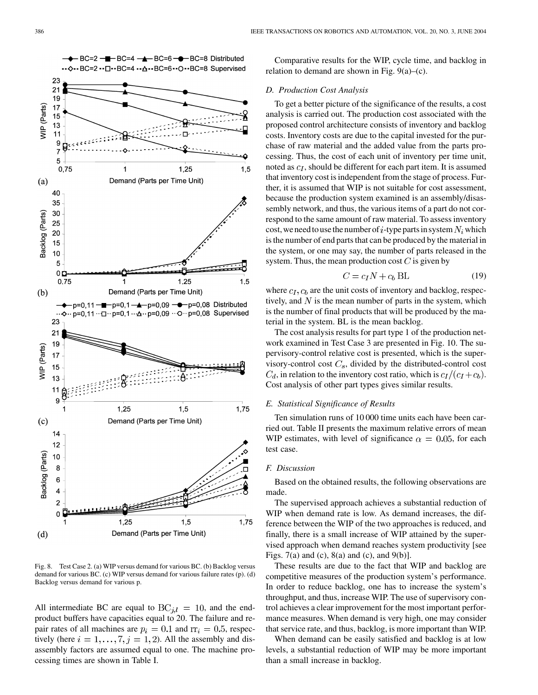-BC=2 - C=4 -A-BC=6 -O-BC=8 Distributed .. Q.. BC=2 .. 0.. BC=4 .. A.. BC=6 .. O.. BC=8 Supervised 23  $21$ 19 WIP (Parts)  $17$ 15 13  $11$ 9 7 5 0,75 1 1,25  $1,5$ Demand (Parts per Time Unit)  $(a)$ 40 35 30 Backlog (Parts) 25 20 15 10 5  $0<sub>D</sub>$ 0,75 1,25  $1,5$ Demand (Parts per Time Unit)  $(b)$ -p=0,11 - - p=0,1 - - p=0,09 - - p=0,08 Distributed  $\cdot$  p=0,11  $\cdot\cdot$  O  $\cdot\cdot$  p=0,1  $\cdot\cdot$   $\Delta$   $\cdot\cdot$  p=0,09  $\cdot\cdot$  O  $\cdot\cdot$  p=0,08 Supervised  $\cdot$   $\diamond$ 23 21 19 WIP (Parts) 17 15 13  $11$ 9 1,75 1,25  $1,5$ 1  $(c)$ Demand (Parts per Time Unit)  $14$  $12$ Backlog (Parts) 10  $\bf 8$ 6  $\overline{\mathbf{4}}$  $\overline{2}$  $1,25$  $1,5$ 1,75 Demand (Parts per Time Unit)  $(d)$ 

Fig. 8. Test Case 2. (a) WIP versus demand for various BC. (b) Backlog versus demand for various BC. (c) WIP versus demand for various failure rates (p). (d) Backlog versus demand for various p.

All intermediate BC are equal to  $BC_{j,l} = 10$ , and the endproduct buffers have capacities equal to 20. The failure and repair rates of all machines are  $p_i = 0.1$  and  $rr_i = 0.5$ , respectively (here  $i = 1, \ldots, 7, j = 1, 2$ ). All the assembly and disassembly factors are assumed equal to one. The machine processing times are shown in Table I.

Comparative results for the WIP, cycle time, and backlog in relation to demand are shown in Fig. 9(a)–(c).

#### *D. Production Cost Analysis*

To get a better picture of the significance of the results, a cost analysis is carried out. The production cost associated with the proposed control architecture consists of inventory and backlog costs. Inventory costs are due to the capital invested for the purchase of raw material and the added value from the parts processing. Thus, the cost of each unit of inventory per time unit, noted as  $c_I$ , should be different for each part item. It is assumed that inventory cost is independent from the stage of process. Further, it is assumed that WIP is not suitable for cost assessment, because the production system examined is an assembly/disassembly network, and thus, the various items of a part do not correspond to the same amount of raw material. To assess inventory cost, we need to use the number of i-type parts in system  $N_i$  which is the number of end parts that can be produced by the material in the system, or one may say, the number of parts released in the system. Thus, the mean production cost  $C$  is given by

$$
C = c_I N + c_b BL \tag{19}
$$

where  $c_I, c_b$  are the unit costs of inventory and backlog, respectively, and  $N$  is the mean number of parts in the system, which is the number of final products that will be produced by the material in the system. BL is the mean backlog.

The cost analysis results for part type 1 of the production network examined in Test Case 3 are presented in Fig. 10. The supervisory-control relative cost is presented, which is the supervisory-control cost  $C_s$ , divided by the distributed-control cost  $C_d$ , in relation to the inventory cost ratio, which is  $c_I/(c_I+c_b)$ . Cost analysis of other part types gives similar results.

# *E. Statistical Significance of Results*

Ten simulation runs of 10 000 time units each have been carried out. Table II presents the maximum relative errors of mean WIP estimates, with level of significance  $\alpha = 0.05$ , for each test case.

### *F. Discussion*

Based on the obtained results, the following observations are made.

The supervised approach achieves a substantial reduction of WIP when demand rate is low. As demand increases, the difference between the WIP of the two approaches is reduced, and finally, there is a small increase of WIP attained by the supervised approach when demand reaches system productivity [see Figs. 7(a) and (c), 8(a) and (c), and 9(b)].

These results are due to the fact that WIP and backlog are competitive measures of the production system's performance. In order to reduce backlog, one has to increase the system's throughput, and thus, increase WIP. The use of supervisory control achieves a clear improvement for the most important performance measures. When demand is very high, one may consider that service rate, and thus, backlog, is more important than WIP.

When demand can be easily satisfied and backlog is at low levels, a substantial reduction of WIP may be more important than a small increase in backlog.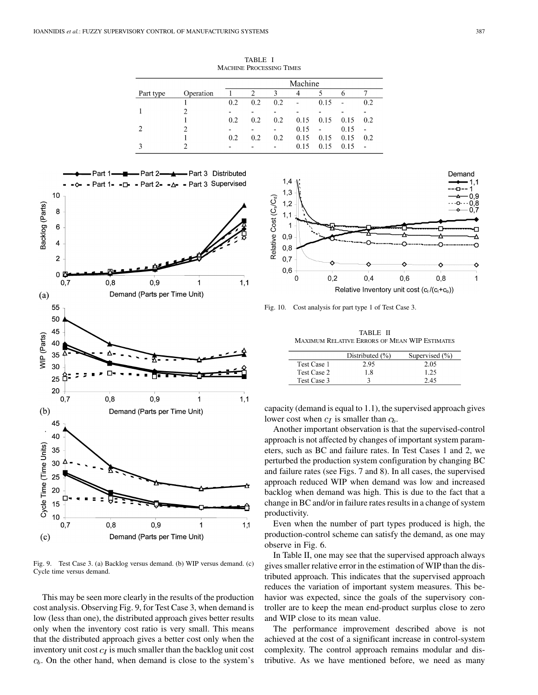TABLE I MACHINE PROCESSING TIMES

|           |           |     | Machine                  |                          |      |                          |      |                |
|-----------|-----------|-----|--------------------------|--------------------------|------|--------------------------|------|----------------|
| Part type | Operation |     | 2                        | 3                        | 4    |                          | 6    |                |
|           |           | 0.2 | 0.2                      | 0.2                      | ۰    | 0.15                     |      | 0.2            |
|           |           |     |                          |                          |      |                          |      |                |
|           |           | 0.2 | 0.2                      | 0.2                      | 0.15 | 0.15                     | 0.15 | 0.2            |
|           |           |     | $\overline{\phantom{a}}$ | $\overline{\phantom{a}}$ | 0.15 | $\overline{\phantom{a}}$ | 0.15 | $\blacksquare$ |
|           |           | 0.2 | 0.2                      | 0.2                      | 0.15 | 0.15                     | 0.15 | 0.2            |
|           |           |     |                          | -                        | 0.15 | 0.15                     | 0.15 |                |



Fig. 9. Test Case 3. (a) Backlog versus demand. (b) WIP versus demand. (c) Cycle time versus demand.

This may be seen more clearly in the results of the production cost analysis. Observing Fig. 9, for Test Case 3, when demand is low (less than one), the distributed approach gives better results only when the inventory cost ratio is very small. This means that the distributed approach gives a better cost only when the inventory unit cost  $c_I$  is much smaller than the backlog unit cost  $c_b$ . On the other hand, when demand is close to the system's



Fig. 10. Cost analysis for part type 1 of Test Case 3.

TABLE II MAXIMUM RELATIVE ERRORS OF MEAN WIP ESTIMATES

|             | Distributed $(\% )$ | Supervised $(\% )$ |
|-------------|---------------------|--------------------|
| Test Case 1 | 2.95                | 2.05               |
| Test Case 2 | 1.8                 | 1.25               |
| Test Case 3 |                     | 2.45               |

capacity (demand is equal to 1.1), the supervised approach gives lower cost when  $c_I$  is smaller than  $c_h$ .

Another important observation is that the supervised-control approach is not affected by changes of important system parameters, such as BC and failure rates. In Test Cases 1 and 2, we perturbed the production system configuration by changing BC and failure rates (see Figs. 7 and 8). In all cases, the supervised approach reduced WIP when demand was low and increased backlog when demand was high. This is due to the fact that a change in BC and/or in failure rates results in a change of system productivity.

Even when the number of part types produced is high, the production-control scheme can satisfy the demand, as one may observe in Fig. 6.

In Table II, one may see that the supervised approach always gives smaller relative error in the estimation of WIP than the distributed approach. This indicates that the supervised approach reduces the variation of important system measures. This behavior was expected, since the goals of the supervisory controller are to keep the mean end-product surplus close to zero and WIP close to its mean value.

The performance improvement described above is not achieved at the cost of a significant increase in control-system complexity. The control approach remains modular and distributive. As we have mentioned before, we need as many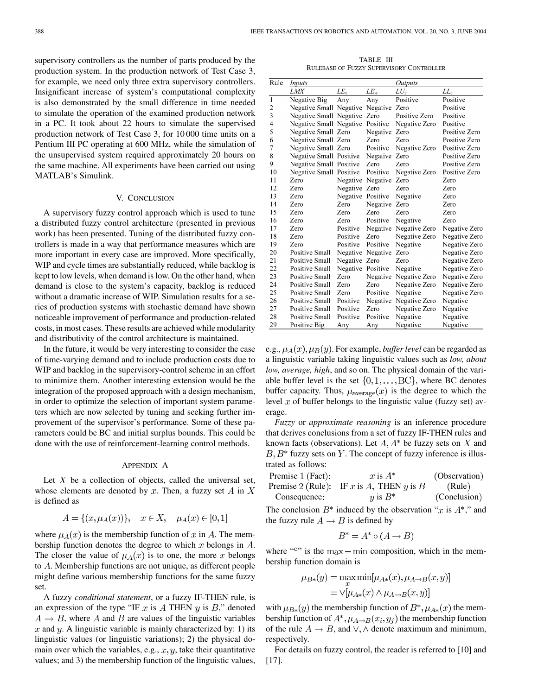supervisory controllers as the number of parts produced by the production system. In the production network of Test Case 3, for example, we need only three extra supervisory controllers. Insignificant increase of system's computational complexity is also demonstrated by the small difference in time needed to simulate the operation of the examined production network in a PC. It took about 22 hours to simulate the supervised production network of Test Case 3, for 10 000 time units on a Pentium III PC operating at 600 MHz, while the simulation of the unsupervised system required approximately 20 hours on the same machine. All experiments have been carried out using MATLAB's Simulink.

### V. CONCLUSION

A supervisory fuzzy control approach which is used to tune a distributed fuzzy control architecture (presented in previous work) has been presented. Tuning of the distributed fuzzy controllers is made in a way that performance measures which are more important in every case are improved. More specifically, WIP and cycle times are substantially reduced, while backlog is kept to low levels, when demand is low. On the other hand, when demand is close to the system's capacity, backlog is reduced without a dramatic increase of WIP. Simulation results for a series of production systems with stochastic demand have shown noticeable improvement of performance and production-related costs, in most cases. These results are achieved while modularity and distributivity of the control architecture is maintained.

In the future, it would be very interesting to consider the case of time-varying demand and to include production costs due to WIP and backlog in the supervisory-control scheme in an effort to minimize them. Another interesting extension would be the integration of the proposed approach with a design mechanism, in order to optimize the selection of important system parameters which are now selected by tuning and seeking further improvement of the supervisor's performance. Some of these parameters could be BC and initial surplus bounds. This could be done with the use of reinforcement-learning control methods.

#### APPENDIX A

Let  $X$  be a collection of objects, called the universal set, whose elements are denoted by x. Then, a fuzzy set A in X is defined as

$$
A = \{(x, \mu_A(x))\}, \quad x \in X, \quad \mu_A(x) \in [0, 1]
$$

where  $\mu_A(x)$  is the membership function of x in A. The membership function denotes the degree to which  $x$  belongs in  $A$ . The closer the value of  $\mu_A(x)$  is to one, the more x belongs to  $A$ . Membership functions are not unique, as different people might define various membership functions for the same fuzzy set.

A fuzzy *conditional statement*, or a fuzzy IF-THEN rule, is an expression of the type "IF  $x$  is  $A$  THEN  $y$  is  $B$ ," denoted  $A \rightarrow B$ , where A and B are values of the linguistic variables  $x$  and  $y$ . A linguistic variable is mainly characterized by: 1) its linguistic values (or linguistic variations); 2) the physical domain over which the variables, e.g.,  $x, y$ , take their quantitative values; and 3) the membership function of the linguistic values,

TABLE III RULEBASE OF FUZZY SUPERVISORY CONTROLLER

| Rule           | Inputs                           |                   | Outputs                      |               |               |
|----------------|----------------------------------|-------------------|------------------------------|---------------|---------------|
|                | LMX                              | $LE_x$            | $LE_{\scriptscriptstyle{w}}$ | $LU_c$        | $LL_c$        |
| 1              | Negative Big                     | Any               | Any                          | Positive      | Positive      |
| $\overline{c}$ | Negative Small Negative Negative |                   |                              | Zero          | Positive      |
| 3              | Negative Small Negative Zero     |                   |                              | Positive Zero | Positive      |
| 4              | Negative Small Negative Positive |                   |                              | Negative Zero | Positive      |
| 5              | Negative Small Zero              |                   | Negative Zero                |               | Positive Zero |
| 6              | Negative Small Zero              |                   | Zero                         | Zero          | Positive Zero |
| 7              | Negative Small Zero              |                   | Positive                     | Negative Zero | Positive Zero |
| 8              | Negative Small Positive          |                   | Negative                     | Zero          | Positive Zero |
| 9              | Negative Small Positive          |                   | Zero                         | Zero          | Positive Zero |
| 10             | Negative Small Positive          |                   | Positive                     | Negative Zero | Positive Zero |
| 11             | Zero                             | Negative          | Negative                     | Zero          | Zero          |
| 12             | Zero                             | Negative Zero     |                              | Zero          | Zero          |
| 13             | Zero                             | Negative Positive |                              | Negative      | Zero          |
| 14             | Zero                             | Zero              | Negative                     | Zero          | Zero          |
| 15             | Zero                             | Zero              | Zero                         | Zero          | Zero          |
| 16             | Zero                             | Zero              | Positive                     | Negative      | Zero          |
| 17             | Zero                             | Positive          | Negative                     | Negative Zero | Negative Zero |
| 18             | Zero                             | Positive          | Zero                         | Negative Zero | Negative Zero |
| 19             | Zero                             | Positive          | Positive                     | Negative      | Negative Zero |
| 20             | <b>Positive Small</b>            |                   | Negative Negative            | Zero          | Negative Zero |
| 21             | Positive Small                   | Negative          | Zero                         | Zero          | Negative Zero |
| 22             | Positive Small                   | Negative Positive |                              | Negative      | Negative Zero |
| 23             | Positive Small                   | Zero              | Negative                     | Negative Zero | Negative Zero |
| 24             | Positive Small                   | Zero              | Zero                         | Negative Zero | Negative Zero |
| 25             | Positive Small                   | Zero              | Positive                     | Negative      | Negative Zero |
| 26             | <b>Positive Small</b>            | Positive          | Negative                     | Negative Zero | Negative      |
| 27             | Positive Small                   | Positive          | Zero                         | Negative Zero | Negative      |
| 28             | Positive Small                   | Positive          | Positive                     | Negative      | Negative      |
| 29             | Positive Big                     | Any               | Any                          | Negative      | Negative      |

e.g.,  $\mu_A(x)$ ,  $\mu_B(y)$ . For example, *buffer level* can be regarded as a linguistic variable taking linguistic values such as *low, about low, average, high*, and so on. The physical domain of the variable buffer level is the set  $\{0, 1, \ldots, BC\}$ , where BC denotes buffer capacity. Thus,  $\mu_{\text{average}}(x)$  is the degree to which the level  $x$  of buffer belongs to the linguistic value (fuzzy set) average.

*Fuzzy* or *approximate reasoning* is an inference procedure that derives conclusions from a set of fuzzy IF-THEN rules and known facts (observations). Let  $A, A^*$  be fuzzy sets on  $X$  and  $B, B^*$  fuzzy sets on Y. The concept of fuzzy inference is illustrated as follows:

| Premise 1 (Fact): | x is $A^*$                               | (Observation) |
|-------------------|------------------------------------------|---------------|
|                   | Premise 2 (Rule): IF x is A, THEN y is B | (Rule)        |
| Consequence:      | $u$ is $B^*$                             | (Conclusion)  |

The conclusion  $B^*$  induced by the observation "x is  $A^*$ ," and the fuzzy rule  $A \rightarrow B$  is defined by

$$
B^* = A^* \circ (A \to B)
$$

where " $\degree$ " is the max – min composition, which in the membership function domain is

$$
\mu_{B*}(y) = \max_{x} \min[\mu_{A*}(x), \mu_{A \to B}(x, y)]
$$

$$
= \sqrt{[\mu_{A*}(x) \land \mu_{A \to B}(x, y)]}
$$

 $\mu$ 

with  $\mu_{B*}(y)$  the membership function of  $B^*$ ,  $\mu_{A*}(x)$  the membership function of  $A^*$ ,  $\mu_{A\to B}(x_i, y_i)$  the membership function of the rule  $A \rightarrow B$ , and  $\vee, \wedge$  denote maximum and minimum, respectively.

For details on fuzzy control, the reader is referred to [[10\]](#page-10-0) and [[17\]](#page-10-0).